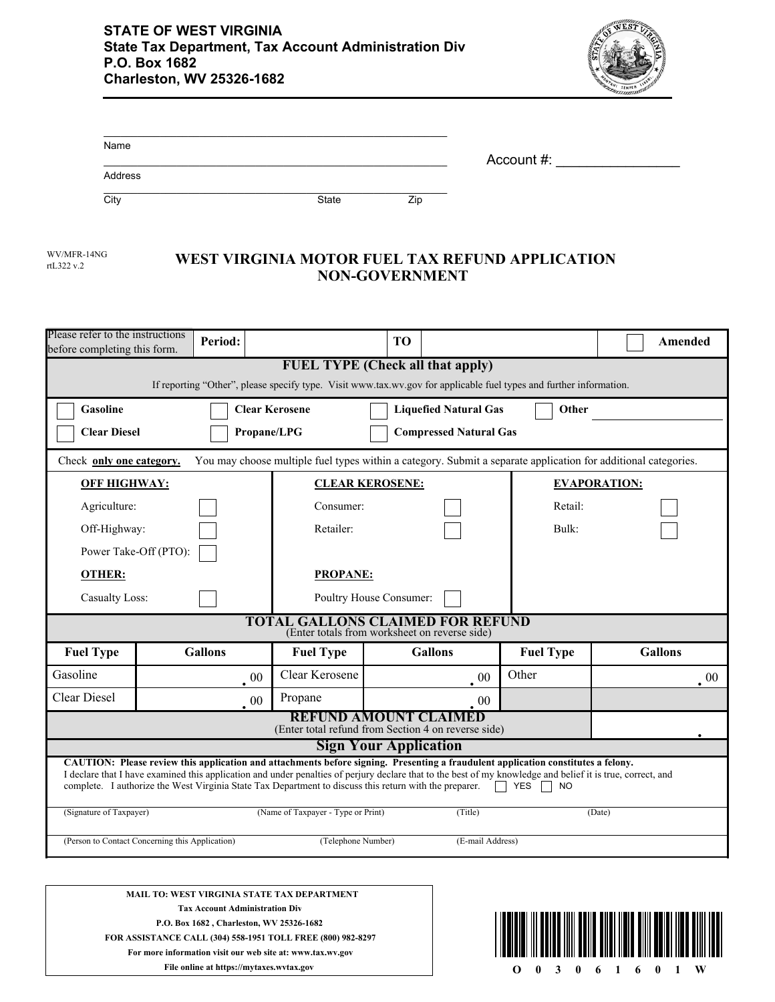

| Name    |       |     |            |  |
|---------|-------|-----|------------|--|
|         |       |     | Account #: |  |
| Address |       |     |            |  |
| City    | State | Zip |            |  |

| WV/MFR-14N |
|------------|
| rtL322 v.2 |

## **WEST VIRGINIA MOTOR FUEL TAX REFUND APPLICATION NON-GOVERNMENT**

| Please refer to the instructions<br>before completing this form.                                                                                                                                                                                                                                                                                                                                                                   | Period:                                                                                   |                                                                                                                | T <sub>O</sub>               |                  | Amended             |  |  |
|------------------------------------------------------------------------------------------------------------------------------------------------------------------------------------------------------------------------------------------------------------------------------------------------------------------------------------------------------------------------------------------------------------------------------------|-------------------------------------------------------------------------------------------|----------------------------------------------------------------------------------------------------------------|------------------------------|------------------|---------------------|--|--|
| <b>FUEL TYPE (Check all that apply)</b><br>If reporting "Other", please specify type. Visit www.tax.wv.gov for applicable fuel types and further information.                                                                                                                                                                                                                                                                      |                                                                                           |                                                                                                                |                              |                  |                     |  |  |
| <b>Gasoline</b>                                                                                                                                                                                                                                                                                                                                                                                                                    |                                                                                           | <b>Clear Kerosene</b>                                                                                          | <b>Liquefied Natural Gas</b> | Other            |                     |  |  |
|                                                                                                                                                                                                                                                                                                                                                                                                                                    | Propane/LPG<br><b>Clear Diesel</b><br><b>Compressed Natural Gas</b>                       |                                                                                                                |                              |                  |                     |  |  |
| Check only one category.                                                                                                                                                                                                                                                                                                                                                                                                           |                                                                                           | You may choose multiple fuel types within a category. Submit a separate application for additional categories. |                              |                  |                     |  |  |
| <b>OFF HIGHWAY:</b>                                                                                                                                                                                                                                                                                                                                                                                                                |                                                                                           | <b>CLEAR KEROSENE:</b>                                                                                         |                              |                  | <b>EVAPORATION:</b> |  |  |
| Agriculture:                                                                                                                                                                                                                                                                                                                                                                                                                       |                                                                                           | Consumer:                                                                                                      |                              | Retail:          |                     |  |  |
| Off-Highway:                                                                                                                                                                                                                                                                                                                                                                                                                       |                                                                                           | Retailer:                                                                                                      |                              | Bulk:            |                     |  |  |
| Power Take-Off (PTO):                                                                                                                                                                                                                                                                                                                                                                                                              |                                                                                           |                                                                                                                |                              |                  |                     |  |  |
| <b>OTHER:</b>                                                                                                                                                                                                                                                                                                                                                                                                                      |                                                                                           | <b>PROPANE:</b>                                                                                                |                              |                  |                     |  |  |
| <b>Casualty Loss:</b>                                                                                                                                                                                                                                                                                                                                                                                                              |                                                                                           |                                                                                                                | Poultry House Consumer:      |                  |                     |  |  |
|                                                                                                                                                                                                                                                                                                                                                                                                                                    | <b>TOTAL GALLONS CLAIMED FOR REFUND</b><br>(Enter totals from worksheet on reverse side)  |                                                                                                                |                              |                  |                     |  |  |
| <b>Fuel Type</b>                                                                                                                                                                                                                                                                                                                                                                                                                   | <b>Gallons</b>                                                                            | <b>Fuel Type</b>                                                                                               | <b>Gallons</b>               | <b>Fuel Type</b> | <b>Gallons</b>      |  |  |
| Gasoline                                                                                                                                                                                                                                                                                                                                                                                                                           |                                                                                           | Clear Kerosene<br>$\cdot$ 00                                                                                   |                              | Other<br>$00\,$  | $00\,$              |  |  |
| <b>Clear Diesel</b>                                                                                                                                                                                                                                                                                                                                                                                                                |                                                                                           | Propane<br>. 00                                                                                                |                              | 00               |                     |  |  |
| <b>REFUND AMOUNT CLAIMED</b><br>(Enter total refund from Section 4 on reverse side)                                                                                                                                                                                                                                                                                                                                                |                                                                                           |                                                                                                                |                              |                  |                     |  |  |
| <b>Sign Your Application</b>                                                                                                                                                                                                                                                                                                                                                                                                       |                                                                                           |                                                                                                                |                              |                  |                     |  |  |
| CAUTION: Please review this application and attachments before signing. Presenting a fraudulent application constitutes a felony.<br>I declare that I have examined this application and under penalties of perjury declare that to the best of my knowledge and belief it is true, correct, and<br>complete. I authorize the West Virginia State Tax Department to discuss this return with the preparer.<br>$\Box$ YES $\Box$ NO |                                                                                           |                                                                                                                |                              |                  |                     |  |  |
| (Signature of Taxpayer)<br>(Name of Taxpayer - Type or Print)<br>(Title)<br>(Date)                                                                                                                                                                                                                                                                                                                                                 |                                                                                           |                                                                                                                |                              |                  |                     |  |  |
|                                                                                                                                                                                                                                                                                                                                                                                                                                    | (Person to Contact Concerning this Application)<br>(Telephone Number)<br>(E-mail Address) |                                                                                                                |                              |                  |                     |  |  |
|                                                                                                                                                                                                                                                                                                                                                                                                                                    |                                                                                           |                                                                                                                |                              |                  |                     |  |  |

**MAIL TO: WEST VIRGINIA STATE TAX DEPARTMENT Tax Account Administration Div P.O. Box 1682 , Charleston, WV 25326-1682 FOR ASSISTANCE CALL (304) 558-1951 TOLL FREE (800) 982-8297 For more information visit our web site at: www.tax.wv.gov**